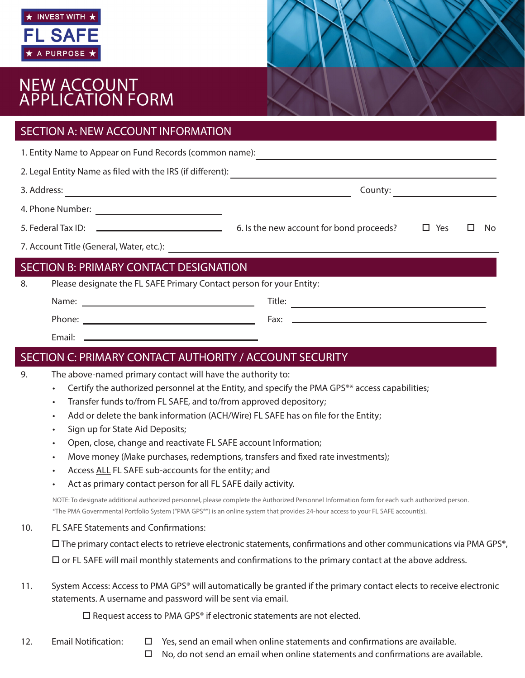

# NEW ACCOUNT<br>APPLICATION FORM

| <b>SECTION A: NEW ACCOUNT INFORMATION</b>                                  |  |  |     |  |
|----------------------------------------------------------------------------|--|--|-----|--|
| 1. Entity Name to Appear on Fund Records (common name):                    |  |  |     |  |
|                                                                            |  |  |     |  |
|                                                                            |  |  |     |  |
|                                                                            |  |  |     |  |
|                                                                            |  |  | No. |  |
|                                                                            |  |  |     |  |
| SECTION B: PRIMARY CONTACT DESIGNATION                                     |  |  |     |  |
| Please designate the FL SAFE Primary Contact person for your Entity:<br>8. |  |  |     |  |
|                                                                            |  |  |     |  |
|                                                                            |  |  |     |  |
|                                                                            |  |  |     |  |
| SECTION C: PRIMARY CONTACT AUTHORITY / ACCOUNT SECURITY                    |  |  |     |  |
| The above-named primary contact will have the authority to:<br>9.          |  |  |     |  |

- Certify the authorized personnel at the Entity, and specify the PMA GPS®\* access capabilities;
- Transfer funds to/from FL SAFE, and to/from approved depository;
- Add or delete the bank information (ACH/Wire) FL SAFE has on file for the Entity;
- Sign up for State Aid Deposits;
- Open, close, change and reactivate FL SAFE account Information;
- Move money (Make purchases, redemptions, transfers and fixed rate investments);
- Access ALL FL SAFE sub-accounts for the entity; and
- Act as primary contact person for all FL SAFE daily activity.

NOTE: To designate additional authorized personnel, please complete the Authorized Personnel Information form for each such authorized person. \*The PMA Governmental Portfolio System ("PMA GPS®") is an online system that provides 24-hour access to your FL SAFE account(s).

#### 10. FL SAFE Statements and Confirmations:

 $\Box$  The primary contact elects to retrieve electronic statements, confirmations and other communications via PMA GPS®,

 $\Box$  or FL SAFE will mail monthly statements and confirmations to the primary contact at the above address.

11. System Access: Access to PMA GPS® will automatically be granted if the primary contact elects to receive electronic statements. A username and password will be sent via email.

 $\square$  Request access to PMA GPS® if electronic statements are not elected.

- 
- 12. Email Notification:  $\Box$  Yes, send an email when online statements and confirmations are available.
	- $\Box$  No, do not send an email when online statements and confirmations are available.